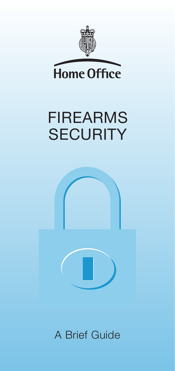

Home Office

# FIREARMS **SECURITY**



A Brief Guide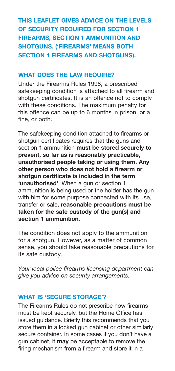# **THIS LEAFLET GIVES ADVICE ON THE LEVELS OF SECURITY REQUIRED FOR SECTION 1 FIREARMS, SECTION 1 AMMUNITION AND SHOTGUNS. ('FIREARMS' MEANS BOTH SECTION 1 FIREARMS AND SHOTGUNS).**

# **WHAT DOES THE LAW REQUIRE?**

Under the Firearms Rules 1998, a prescribed safekeeping condition is attached to all firearm and shotgun certificates. It is an offence not to comply with these conditions. The maximum penalty for this offence can be up to 6 months in prison, or a fine, or both.

The safekeeping condition attached to firearms or shotgun certificates requires that the guns and section 1 ammunition **must be stored securely to prevent, so far as is reasonably practicable, unauthorised people taking or using them. Any other person who does not hold a firearm or shotgun certificate is included in the term 'unauthorised'**. When a gun or section 1 ammunition is being used or the holder has the gun with him for some purpose connected with its use, transfer or sale, **reasonable precautions must be taken for the safe custody of the gun(s) and section 1 ammunition**.

The condition does not apply to the ammunition for a shotgun. However, as a matter of common sense, you should take reasonable precautions for its safe custody.

*Your local police firearms licensing department can give you advice on security arrangements.*

#### **WHAT IS 'SECURE STORAGE'?**

The Firearms Rules do not prescribe how firearms must be kept securely, but the Home Office has issued guidance. Briefly this recommends that you store them in a locked gun cabinet or other similarly secure container. In some cases if you don't have a gun cabinet, it **may** be acceptable to remove the firing mechanism from a firearm and store it in a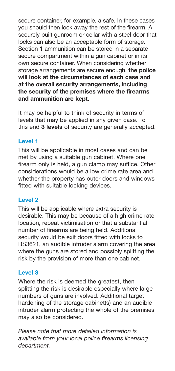secure container, for example, a safe. In these cases you should then lock away the rest of the firearm. A securely built gunroom or cellar with a steel door that locks can also be an acceptable form of storage. Section 1 ammunition can be stored in a separate secure compartment within a gun cabinet or in its own secure container. When considering whether storage arrangements are secure enough, **the police will look at the circumstances of each case and at the overall security arrangements, including the security of the premises where the firearms and ammunition are kept.**

It may be helpful to think of security in terms of levels that may be applied in any given case. To this end **3 levels** of security are generally accepted.

# **Level 1**

This will be applicable in most cases and can be met by using a suitable gun cabinet. Where one firearm only is held, a gun clamp may suffice. Other considerations would be a low crime rate area and whether the property has outer doors and windows fitted with suitable locking devices.

# **Level 2**

This will be applicable where extra security is desirable. This may be because of a high crime rate location, repeat victimisation or that a substantial number of firearms are being held. Additional security would be exit doors fitted with locks to BS3621, an audible intruder alarm covering the area where the guns are stored and possibly splitting the risk by the provision of more than one cabinet.

#### **Level 3**

Where the risk is deemed the greatest, then splitting the risk is desirable especially where large numbers of guns are involved. Additional target hardening of the storage cabinet(s) and an audible intruder alarm protecting the whole of the premises may also be considered.

*Please note that more detailed information is available from your local police firearms licensing department.*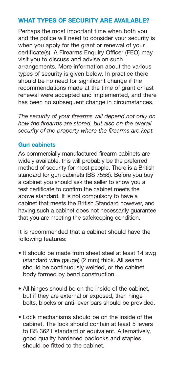# **WHAT TYPES OF SECURITY ARE AVAILABLE?**

Perhaps the most important time when both you and the police will need to consider your security is when you apply for the grant or renewal of your certificate(s). A Firearms Enquiry Officer (FEO) may visit you to discuss and advise on such arrangements. More information about the various types of security is given below. In practice there should be no need for significant change if the recommendations made at the time of grant or last renewal were accepted and implemented, and there has been no subsequent change in circumstances.

*The security of your firearms will depend not only on how the firearms are stored, but also on the overall security of the property where the firearms are kept.*

#### **Gun cabinets**

As commercially manufactured firearm cabinets are widely available, this will probably be the preferred method of security for most people. There is a British standard for gun cabinets (BS 7558). Before you buy a cabinet you should ask the seller to show you a test certificate to confirm the cabinet meets the above standard. It is not compulsory to have a cabinet that meets the British Standard however, and having such a cabinet does not necessarily guarantee that you are meeting the safekeeping condition.

It is recommended that a cabinet should have the following features:

- It should be made from sheet steel at least 14 swg (standard wire gauge) (2 mm) thick. All seams should be continuously welded, or the cabinet body formed by bend construction.
- All hinges should be on the inside of the cabinet, but if they are external or exposed, then hinge bolts, blocks or anti-lever bars should be provided.
- Lock mechanisms should be on the inside of the cabinet. The lock should contain at least 5 levers to BS 3621 standard or equivalent. Alternatively, good quality hardened padlocks and staples should be fitted to the cabinet.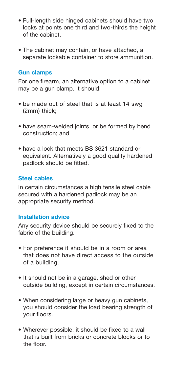- Full-length side hinged cabinets should have two locks at points one third and two-thirds the height of the cabinet.
- The cabinet may contain, or have attached, a separate lockable container to store ammunition.

#### **Gun clamps**

For one firearm, an alternative option to a cabinet may be a gun clamp. It should:

- be made out of steel that is at least 14 swg (2mm) thick;
- have seam-welded joints, or be formed by bend construction; and
- have a lock that meets BS 3621 standard or equivalent. Alternatively a good quality hardened padlock should be fitted.

#### **Steel cables**

In certain circumstances a high tensile steel cable secured with a hardened padlock may be an appropriate security method.

#### **Installation advice**

Any security device should be securely fixed to the fabric of the building.

- For preference it should be in a room or area that does not have direct access to the outside of a building.
- It should not be in a garage, shed or other outside building, except in certain circumstances.
- When considering large or heavy gun cabinets, you should consider the load bearing strength of your floors.
- Wherever possible, it should be fixed to a wall that is built from bricks or concrete blocks or to the floor.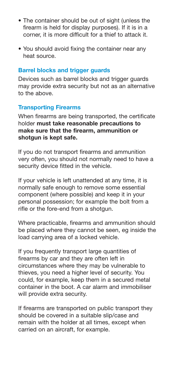- The container should be out of sight (unless the firearm is held for display purposes). If it is in a corner, it is more difficult for a thief to attack it.
- You should avoid fixing the container near any heat source.

#### **Barrel blocks and trigger guards**

Devices such as barrel blocks and trigger guards may provide extra security but not as an alternative to the above.

#### **Transporting Firearms**

When firearms are being transported, the certificate holder **must take reasonable precautions to make sure that the firearm, ammunition or shotgun is kept safe.**

If you do not transport firearms and ammunition very often, you should not normally need to have a security device fitted in the vehicle.

If your vehicle is left unattended at any time, it is normally safe enough to remove some essential component (where possible) and keep it in your personal possession; for example the bolt from a rifle or the fore-end from a shotgun.

Where practicable, firearms and ammunition should be placed where they cannot be seen, eg inside the load carrying area of a locked vehicle.

If you frequently transport large quantities of firearms by car and they are often left in circumstances where they may be vulnerable to thieves, you need a higher level of security. You could, for example, keep them in a secured metal container in the boot. A car alarm and immobiliser will provide extra security.

If firearms are transported on public transport they should be covered in a suitable slip/case and remain with the holder at all times, except when carried on an aircraft, for example.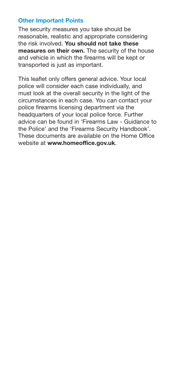# **Other Important Points**

The security measures you take should be reasonable, realistic and appropriate considering the risk involved. **You should not take these measures on their own.** The security of the house and vehicle in which the firearms will be kept or transported is just as important.

This leaflet only offers general advice. Your local police will consider each case individually, and must look at the overall security in the light of the circumstances in each case. You can contact your police firearms licensing department via the headquarters of your local police force. Further advice can be found in 'Firearms Law - Guidance to the Police' and the 'Firearms Security Handbook'. These documents are available on the Home Office website at **www.homeoffice.gov.uk**.